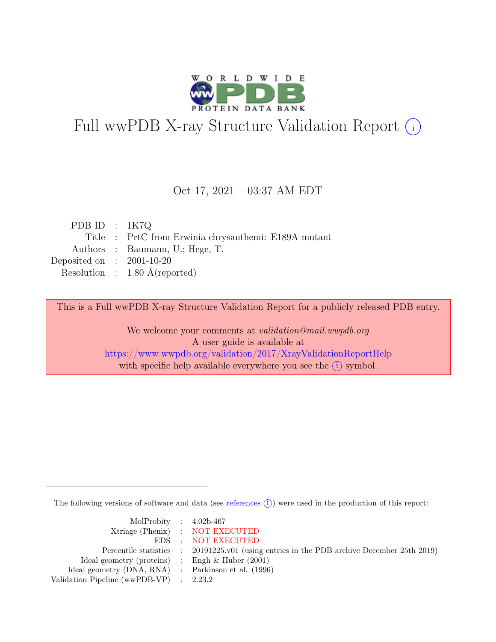

# Full wwPDB X-ray Structure Validation Report  $(i)$

#### Oct 17, 2021 – 03:37 AM EDT

| PDB ID : $1K7Q$             |                                                      |
|-----------------------------|------------------------------------------------------|
|                             | Title : PrtC from Erwinia chrysanthemi: E189A mutant |
|                             | Authors : Baumann, U.; Hege, T.                      |
| Deposited on : $2001-10-20$ |                                                      |
|                             | Resolution : $1.80 \text{ Å}$ (reported)             |

This is a Full wwPDB X-ray Structure Validation Report for a publicly released PDB entry.

We welcome your comments at validation@mail.wwpdb.org A user guide is available at <https://www.wwpdb.org/validation/2017/XrayValidationReportHelp> with specific help available everywhere you see the  $(i)$  symbol.

The following versions of software and data (see [references](https://www.wwpdb.org/validation/2017/XrayValidationReportHelp#references)  $(i)$ ) were used in the production of this report:

| MolProbity : $4.02b-467$                            |                                                                                            |
|-----------------------------------------------------|--------------------------------------------------------------------------------------------|
|                                                     | Xtriage (Phenix) : NOT EXECUTED                                                            |
|                                                     | EDS : NOT EXECUTED                                                                         |
|                                                     | Percentile statistics : 20191225.v01 (using entries in the PDB archive December 25th 2019) |
| Ideal geometry (proteins) : Engh $\&$ Huber (2001)  |                                                                                            |
| Ideal geometry (DNA, RNA) : Parkinson et al. (1996) |                                                                                            |
| Validation Pipeline (wwPDB-VP) : 2.23.2             |                                                                                            |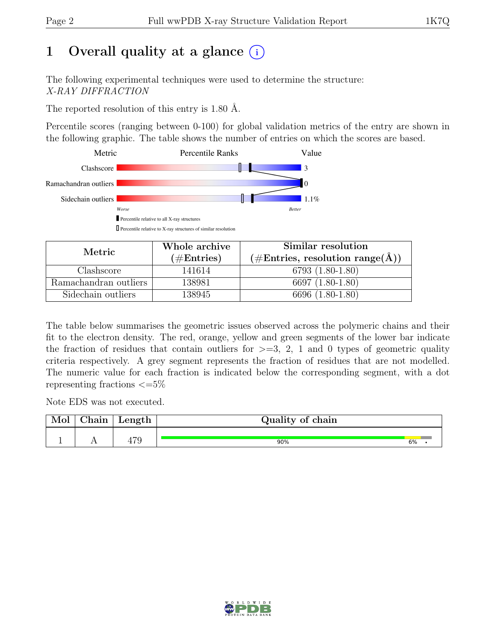# 1 Overall quality at a glance  $(i)$

The following experimental techniques were used to determine the structure: X-RAY DIFFRACTION

The reported resolution of this entry is 1.80 Å.

Percentile scores (ranging between 0-100) for global validation metrics of the entry are shown in the following graphic. The table shows the number of entries on which the scores are based.



| Metric                | Whole archive | Similar resolution                                           |  |  |
|-----------------------|---------------|--------------------------------------------------------------|--|--|
|                       | $(\#Entries)$ | $(\#\text{Entries}, \, \text{resolution range}(\text{\AA}))$ |  |  |
| Clashscore            | 141614        | 6793 (1.80-1.80)                                             |  |  |
| Ramachandran outliers | 138981        | 6697 (1.80-1.80)                                             |  |  |
| Sidechain outliers    | 138945        | 6696 (1.80-1.80)                                             |  |  |

The table below summarises the geometric issues observed across the polymeric chains and their fit to the electron density. The red, orange, yellow and green segments of the lower bar indicate the fraction of residues that contain outliers for  $\geq$ =3, 2, 1 and 0 types of geometric quality criteria respectively. A grey segment represents the fraction of residues that are not modelled. The numeric value for each fraction is indicated below the corresponding segment, with a dot representing fractions  $\epsilon = 5\%$ 

Note EDS was not executed.

| വ | ~1<br>hain | Length                 | Quality of chain |    |  |  |  |
|---|------------|------------------------|------------------|----|--|--|--|
|   | . .        | $\overline{50}$<br>479 | 90%              | 6% |  |  |  |

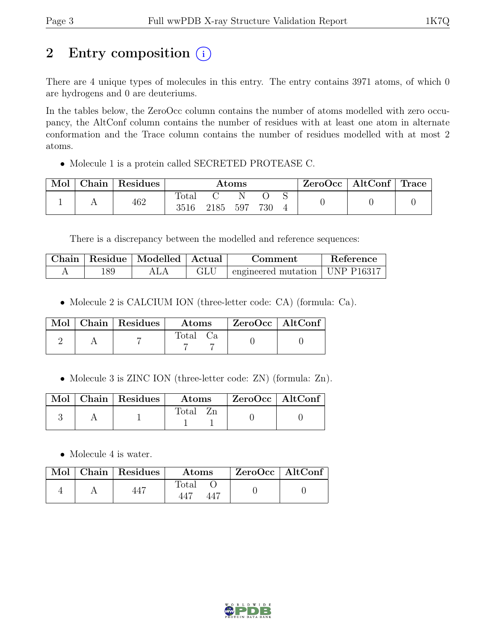# 2 Entry composition  $(i)$

There are 4 unique types of molecules in this entry. The entry contains 3971 atoms, of which 0 are hydrogens and 0 are deuteriums.

In the tables below, the ZeroOcc column contains the number of atoms modelled with zero occupancy, the AltConf column contains the number of residues with at least one atom in alternate conformation and the Trace column contains the number of residues modelled with at most 2 atoms.

• Molecule 1 is a protein called SECRETED PROTEASE C.

| Mol | Chain Residues | $\rm{Atoms}$           |      |     |     | $\text{ZeroOcc}$   AltConf   Trace |  |  |
|-----|----------------|------------------------|------|-----|-----|------------------------------------|--|--|
|     | 462            | $\text{Total}$<br>3516 | 2185 | 597 | 730 |                                    |  |  |

There is a discrepancy between the modelled and reference sequences:

| Chain |     | Residue   Modelled   Actual | <b>Comment</b>                              | Reference |
|-------|-----|-----------------------------|---------------------------------------------|-----------|
|       | 189 |                             | $\pm$ engineered mutation $\pm$ UNP P16317. |           |

• Molecule 2 is CALCIUM ION (three-letter code: CA) (formula: Ca).

|  | $\text{Mol}$   Chain   Residues | $\boldsymbol{\mathrm{Atoms}}$ | ZeroOcc   AltConf |  |
|--|---------------------------------|-------------------------------|-------------------|--|
|  |                                 | Total Ca                      |                   |  |

• Molecule 3 is ZINC ION (three-letter code: ZN) (formula: Zn).

|  | $\mathbb{N}$ ol   Chain   Residues | $\rm{Atoms}$         | $\mathsf{ZeroOcc} \mid \mathsf{AltConf}$ |
|--|------------------------------------|----------------------|------------------------------------------|
|  |                                    | Zn<br>$\text{Total}$ |                                          |

• Molecule 4 is water.

|  | Mol   Chain   Residues | <b>Atoms</b> | EcroOcc   AltConf |  |
|--|------------------------|--------------|-------------------|--|
|  | 447                    | Total        |                   |  |

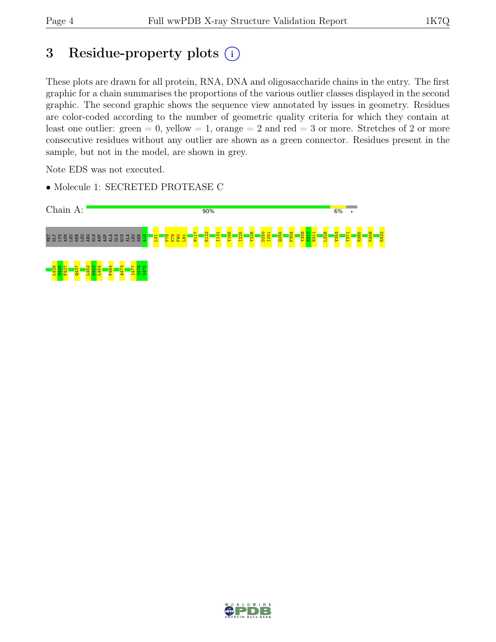# 3 Residue-property plots  $(i)$

These plots are drawn for all protein, RNA, DNA and oligosaccharide chains in the entry. The first graphic for a chain summarises the proportions of the various outlier classes displayed in the second graphic. The second graphic shows the sequence view annotated by issues in geometry. Residues are color-coded according to the number of geometric quality criteria for which they contain at least one outlier: green  $= 0$ , yellow  $= 1$ , orange  $= 2$  and red  $= 3$  or more. Stretches of 2 or more consecutive residues without any outlier are shown as a green connector. Residues present in the sample, but not in the model, are shown in grey.

Note EDS was not executed.

• Molecule 1: SECRETED PROTEASE C



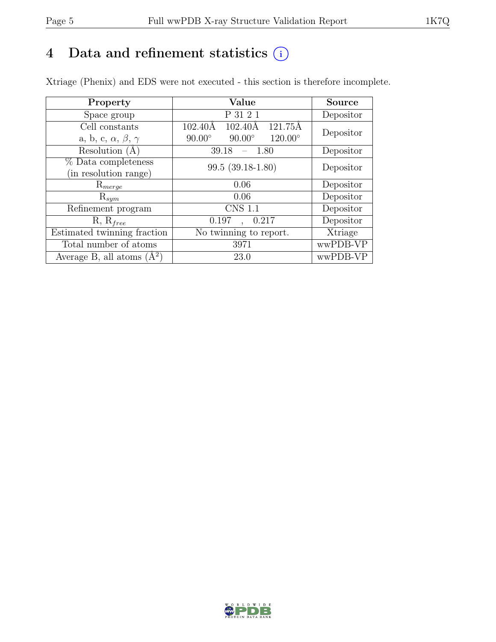# 4 Data and refinement statistics  $(i)$

Xtriage (Phenix) and EDS were not executed - this section is therefore incomplete.

| Property                               | Value                                                                   | <b>Source</b> |
|----------------------------------------|-------------------------------------------------------------------------|---------------|
| Space group                            | P 31 2 1                                                                | Depositor     |
| Cell constants                         | $121.75\overline{\text{A}}$<br>$102.40\text{\AA}$<br>$102.40\text{\AA}$ |               |
| a, b, c, $\alpha$ , $\beta$ , $\gamma$ | $90.00^\circ$<br>$120.00^{\circ}$<br>$90.00^\circ$                      | Depositor     |
| Resolution (A)                         | 39.18<br>$-1.80$                                                        | Depositor     |
| % Data completeness                    | $99.5(39.18-1.80)$                                                      | Depositor     |
| (in resolution range)                  |                                                                         |               |
| $\mathrm{R}_{merge}$                   | 0.06                                                                    | Depositor     |
| $\mathrm{R}_{sym}$                     | 0.06                                                                    | Depositor     |
| Refinement program                     | <b>CNS 1.1</b>                                                          | Depositor     |
| $R, R_{free}$                          | 0.197<br>0.217                                                          | Depositor     |
| Estimated twinning fraction            | No twinning to report.                                                  | Xtriage       |
| Total number of atoms                  | 3971                                                                    | wwPDB-VP      |
| Average B, all atoms $(A^2)$           | 23.0                                                                    | wwPDB-VP      |

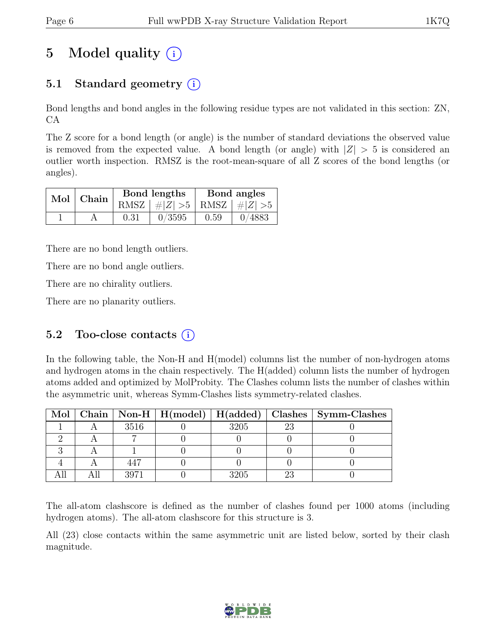# 5 Model quality  $(i)$

# 5.1 Standard geometry  $(i)$

Bond lengths and bond angles in the following residue types are not validated in this section: ZN, CA

The Z score for a bond length (or angle) is the number of standard deviations the observed value is removed from the expected value. A bond length (or angle) with  $|Z| > 5$  is considered an outlier worth inspection. RMSZ is the root-mean-square of all Z scores of the bond lengths (or angles).

|  | Mol   Chain |      | Bond lengths                    | Bond angles |        |  |
|--|-------------|------|---------------------------------|-------------|--------|--|
|  |             |      | RMSZ $ #Z  > 5$ RMSZ $ #Z  > 5$ |             |        |  |
|  |             | 0.31 | 0/3595                          | 0.59        | 0/4883 |  |

There are no bond length outliers.

There are no bond angle outliers.

There are no chirality outliers.

There are no planarity outliers.

#### 5.2 Too-close contacts  $(i)$

In the following table, the Non-H and H(model) columns list the number of non-hydrogen atoms and hydrogen atoms in the chain respectively. The H(added) column lists the number of hydrogen atoms added and optimized by MolProbity. The Clashes column lists the number of clashes within the asymmetric unit, whereas Symm-Clashes lists symmetry-related clashes.

|  |      | Mol   Chain   Non-H   H(model)   H(added) |      |    | Clashes   Symm-Clashes |
|--|------|-------------------------------------------|------|----|------------------------|
|  | 3516 |                                           | 3205 | 23 |                        |
|  |      |                                           |      |    |                        |
|  |      |                                           |      |    |                        |
|  |      |                                           |      |    |                        |
|  | 3971 |                                           | 3205 |    |                        |

The all-atom clashscore is defined as the number of clashes found per 1000 atoms (including hydrogen atoms). The all-atom clashscore for this structure is 3.

All (23) close contacts within the same asymmetric unit are listed below, sorted by their clash magnitude.

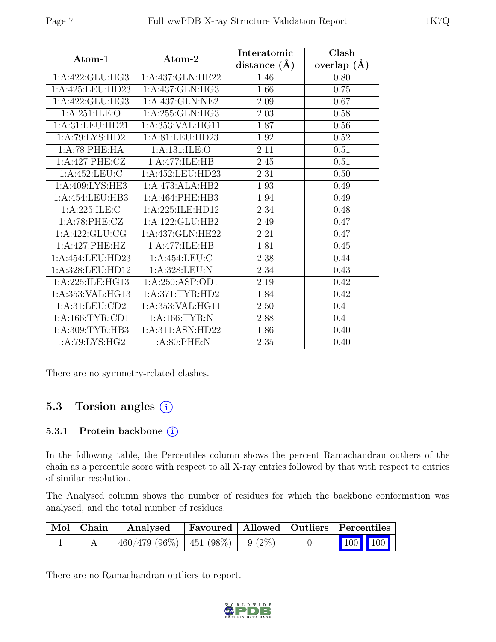| Atom-1              | Atom-2           | Interatomic      | Clash              |  |
|---------------------|------------------|------------------|--------------------|--|
|                     |                  | distance $(\AA)$ | $(\AA)$<br>overlap |  |
| 1:A:422:GLU:HG3     | 1:A:437:GLN:HE22 | 1.46             | 0.80               |  |
| 1:A:425:LEU:HD23    | 1:A:437:GLN:HG3  | 1.66             | 0.75               |  |
| 1:A:422:GLU:HG3     | 1:A:437:GLN:NE2  | 2.09             | 0.67               |  |
| 1: A:251: ILE: O    | 1:A:255:GLN:HG3  | 2.03             | 0.58               |  |
| 1:A:31:LEU:HD21     | 1:A:353:VAL:HG11 | 1.87             | 0.56               |  |
| 1:A:79:LYS:HD2      | 1:A:81:LEU:HD23  | 1.92             | 0.52               |  |
| 1:A:78:PHE:HA       | 1:A:131:ILE:O    | 2.11             | 0.51               |  |
| 1:A:427:PHE:CZ      | 1:A:477:ILE:HB   | 2.45             | 0.51               |  |
| 1:A:452:LEU:C       | 1:A:452:LEU:HD23 | 2.31             | 0.50               |  |
| 1:A:409:LYS:HE3     | 1:A:473:ALA:HB2  | 1.93             | 0.49               |  |
| 1:A:454:LEU:HB3     | 1:A:464:PHE:HB3  | 1.94             | 0.49               |  |
| 1:A:225:ILE:C       | 1:A:225:ILE:HD12 | 2.34             | 0.48               |  |
| 1:A:78:PHE:CZ       | 1:A:122:GLU:HB2  | 2.49             | 0.47               |  |
| 1:A:422:GLU:CG      | 1:A:437:GLN:HE22 | 2.21             | 0.47               |  |
| 1:A:427:PHE:HZ      | 1:A:477:ILE:HB   | 1.81             | 0.45               |  |
| 1:A:454:LEU:HD23    | 1:A:454:LEU:C    | 2.38             | 0.44               |  |
| 1:A:328:LEU:HD12    | 1:A:328:LEU:N    | 2.34             | 0.43               |  |
| 1:A:225:ILE:HG13    | 1:A:250:ASP:OD1  | 2.19             | 0.42               |  |
| 1:A:353:VAL:HG13    | 1: A:371:TYR:HD2 | 1.84             | 0.42               |  |
| 1: A:31: LEU:CD2    | 1:A:353:VAL:HG11 | 2.50             | 0.41               |  |
| 1: A: 166: TYR: CD1 | 1:A:166:TYR:N    | 2.88             | 0.41               |  |
| 1: A:309: TYR: HB3  | 1:A:311:ASN:HD22 | 1.86             | 0.40               |  |
| 1:A:79:LYS:HG2      | 1: A:80: PHE: N  | 2.35             | 0.40               |  |

There are no symmetry-related clashes.

# 5.3 Torsion angles (i)

#### 5.3.1 Protein backbone (i)

In the following table, the Percentiles column shows the percent Ramachandran outliers of the chain as a percentile score with respect to all X-ray entries followed by that with respect to entries of similar resolution.

The Analysed column shows the number of residues for which the backbone conformation was analysed, and the total number of residues.

| Mol   Chain | Analysed                             | <b>Favoured</b>   Allowed   Outliers   Percentiles |  |                                                            |  |
|-------------|--------------------------------------|----------------------------------------------------|--|------------------------------------------------------------|--|
|             | $460/479$ (96%)   451 (98%)   9 (2%) |                                                    |  | $\begin{array}{ c c c c }\n\hline\n100 & 100\n\end{array}$ |  |

There are no Ramachandran outliers to report.

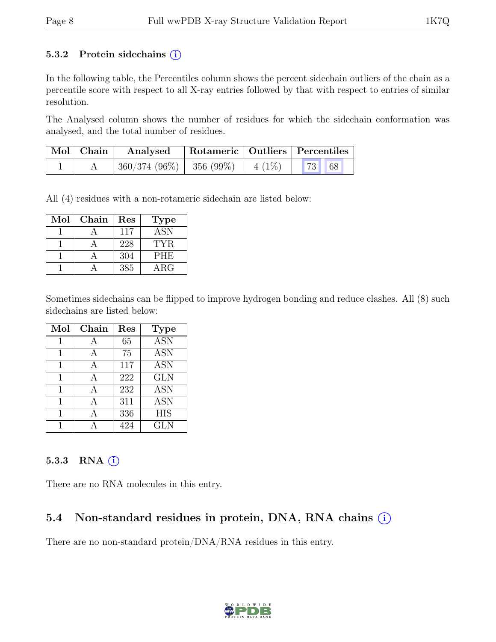#### 5.3.2 Protein sidechains  $(i)$

In the following table, the Percentiles column shows the percent sidechain outliers of the chain as a percentile score with respect to all X-ray entries followed by that with respect to entries of similar resolution.

The Analysed column shows the number of residues for which the sidechain conformation was analysed, and the total number of residues.

| $\vert$ Mol $\vert$ Chain $\vert$ | Analysed                               | Rotameric   Outliers   Percentiles |  |
|-----------------------------------|----------------------------------------|------------------------------------|--|
|                                   | $360/374(96\%)$ 356 (99%) 4 (1%) 73 68 |                                    |  |

All (4) residues with a non-rotameric sidechain are listed below:

| Mol | Chain | Res | <b>Type</b> |
|-----|-------|-----|-------------|
|     |       | 117 | <b>ASN</b>  |
|     |       | 228 | TYR.        |
|     |       | 304 | <b>PHE</b>  |
|     |       | 385 | $\rm{ARG}$  |

Sometimes sidechains can be flipped to improve hydrogen bonding and reduce clashes. All (8) such sidechains are listed below:

| Mol | Chain | Res  | <b>Type</b>      |
|-----|-------|------|------------------|
|     | А     | 65   | $\overline{ASN}$ |
| 1   | А     | 75   | <b>ASN</b>       |
| 1   | A     | 117  | <b>ASN</b>       |
| 1   | A     | 222  | <b>GLN</b>       |
|     |       | 232  | $\overline{ASN}$ |
|     | А     | 311  | <b>ASN</b>       |
| 1   | А     | 336  | <b>HIS</b>       |
|     |       | 49.4 | <b>GLN</b>       |

#### 5.3.3 RNA  $(i)$

There are no RNA molecules in this entry.

# 5.4 Non-standard residues in protein, DNA, RNA chains (i)

There are no non-standard protein/DNA/RNA residues in this entry.

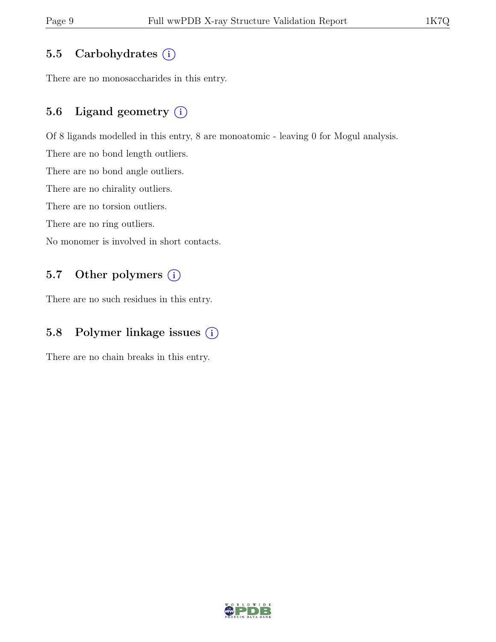## 5.5 Carbohydrates  $(i)$

There are no monosaccharides in this entry.

# 5.6 Ligand geometry  $(i)$

Of 8 ligands modelled in this entry, 8 are monoatomic - leaving 0 for Mogul analysis.

There are no bond length outliers.

There are no bond angle outliers.

There are no chirality outliers.

There are no torsion outliers.

There are no ring outliers.

No monomer is involved in short contacts.

## 5.7 Other polymers (i)

There are no such residues in this entry.

# 5.8 Polymer linkage issues (i)

There are no chain breaks in this entry.